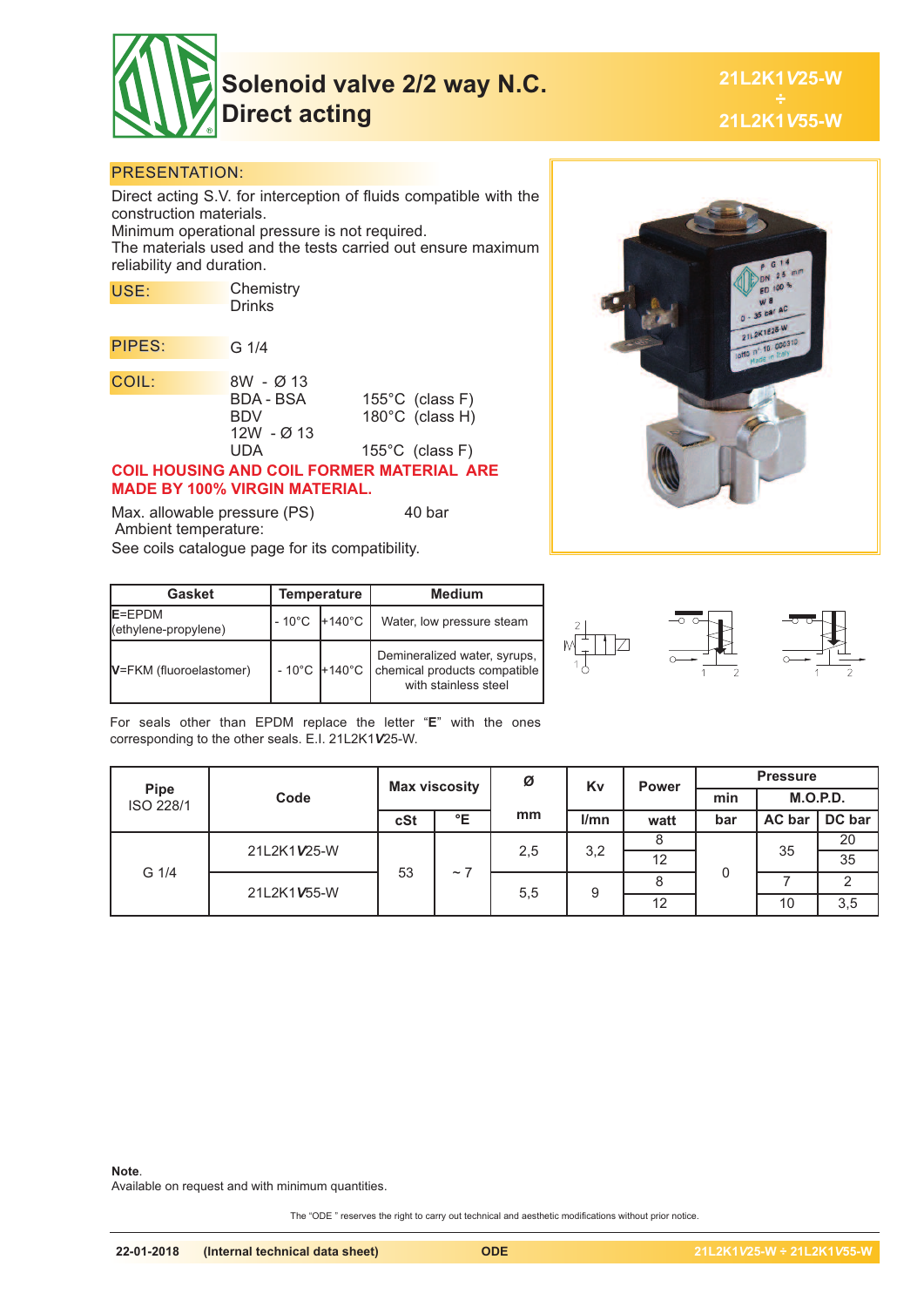

**Solenoid valve 2/2 way N.C. Direct acting**

**21L2K1***V***25-W 21L2K1***V***55-W**

### PRESENTATION:

Direct acting S.V. for interception of fluids compatible with the construction materials. Minimum operational pressure is not required. The materials used and the tests carried out ensure maximum reliability and duration.

| USE:   | Chemistry<br><b>Drinks</b>                                         |                                                                           |
|--------|--------------------------------------------------------------------|---------------------------------------------------------------------------|
| PIPES: | G 1/4                                                              |                                                                           |
| COIL:  | 8W - Ø 13<br><b>BDA - BSA</b><br><b>BDV</b><br>$12W - Ø 13$<br>UDA | 155 $\degree$ C (class F)<br>180°C (class H)<br>$155^{\circ}$ C (class F) |

#### **COIL HOUSING AND COIL FORMER MATERIAL ARE MADE BY 100% VIRGIN MATERIAL.**

Max. allowable pressure (PS) 40 bar Ambient temperature: See coils catalogue page for its compatibility.



| <b>Gasket</b>                   |                 | <b>Temperature</b> | <b>Medium</b>                                                                                        |  |  |
|---------------------------------|-----------------|--------------------|------------------------------------------------------------------------------------------------------|--|--|
| E=EPDM<br>(ethylene-propylene)  | $-10^{\circ}$ C | $+140^{\circ}$ C   | Water, low pressure steam                                                                            |  |  |
| <b>V</b> =FKM (fluoroelastomer) |                 |                    | Demineralized water, syrups,<br>- 10°C +140°C   chemical products compatible<br>with stainless steel |  |  |



For seals other than EPDM replace the letter "**E**" with the ones corresponding to the other seals. E.I. 21L2K1*V*25-W.

|                          | Code        | <b>Max viscosity</b> |                       | Ø   | Kv   | <b>Power</b> | <b>Pressure</b> |          |        |
|--------------------------|-------------|----------------------|-----------------------|-----|------|--------------|-----------------|----------|--------|
| <b>Pipe</b><br>ISO 228/1 |             |                      |                       |     |      |              | min             | M.O.P.D. |        |
|                          |             | cSt                  | °E                    | mm  | l/mn | watt         | bar             | AC bar   | DC bar |
| G 1/4                    | 21L2K1V25-W | 53                   | $\tilde{\phantom{a}}$ | 2,5 | 3,2  |              |                 | 35       | 20     |
|                          |             |                      |                       |     |      | 12           |                 |          | 35     |
|                          | 21L2K1V55-W |                      |                       | 5,5 | 9    |              |                 |          | ◠      |
|                          |             |                      |                       |     |      | 12           |                 | 10       | 3,5    |

#### **Note**.

Available on request and with minimum quantities.

The "ODE " reserves the right to carry out technical and aesthetic modifications without prior notice.